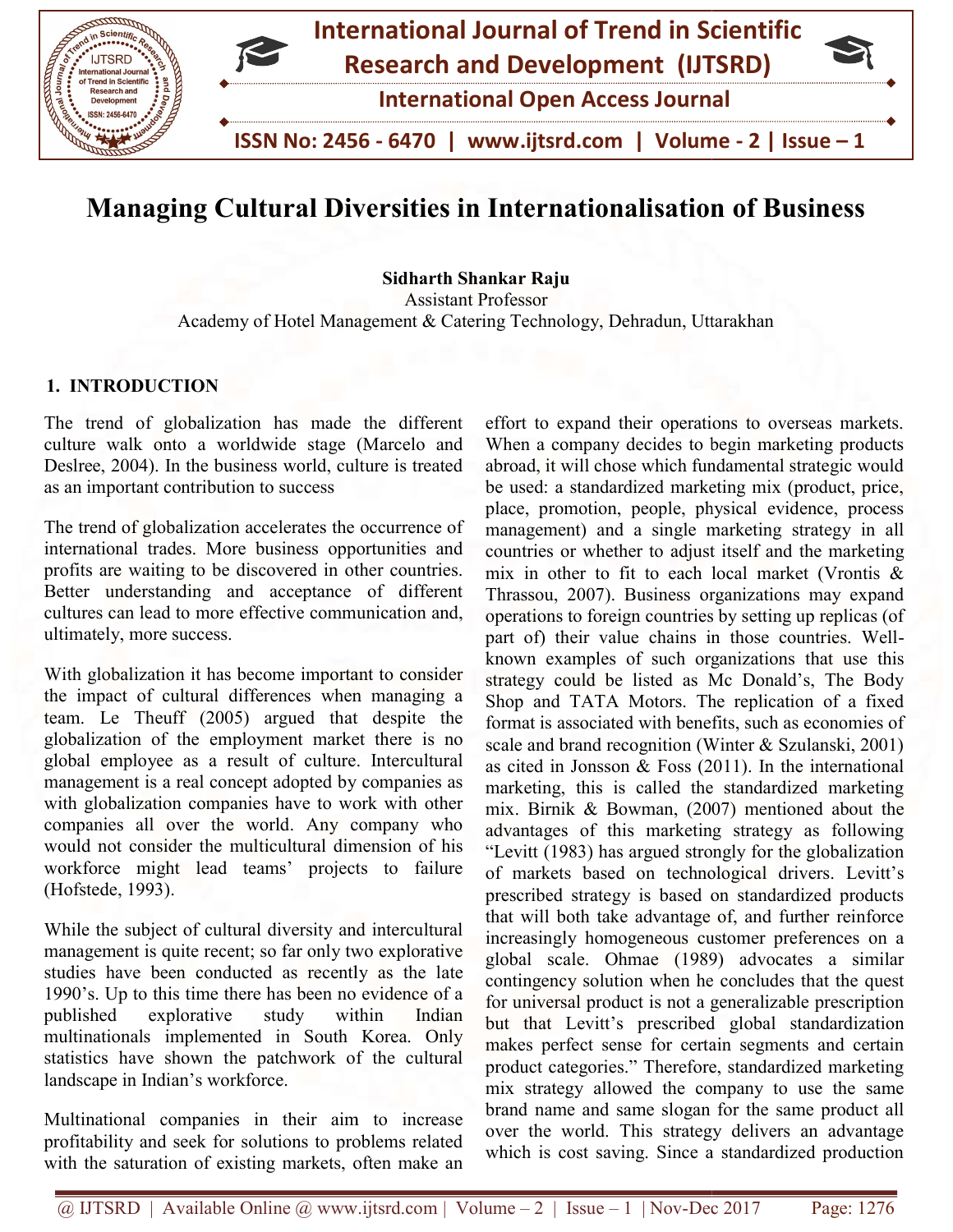

# Managing Cultural Diversities in Internationalisation of Business Managing

Academy of Hotel Management & Catering Technology, Dehradun, Uttarakhan Sidharth Shankar Raju Assistant Professor

# 1. INTRODUCTION

The trend of globalization has made the different culture walk onto a worldwide stage (Marcelo and Deslree, 2004). In the business world, culture is treated as an important contribution to success

The trend of globalization accelerates the occurrence of international trades. More business opportunities and The trend of globalization accelerates the occurrence of international trades. More business opportunities and profits are waiting to be discovered in other countries. Better understanding and acceptance of different cultures can lead to more effective communication and, ultimately, more success. cultures can lead to more effective communication and,<br>ultimately, more success.<br>With globalization it has become important to consider<br>the impact of cultural differences when managing a

With globalization it has become important to consider the impact of cultural differences when managing a team. Le Theuff (2005) argued that despite the globalization of the employment market there is no globalization of the employment market there is no<br>global employee as a result of culture. Intercultural management is a real concept adopted by companies as management is a real concept adopted by companies as with globalization companies have to work with other companies all over the world. Any company who would not consider the multicultural dimension of his companies all over the world. Any company who would not consider the multicultural dimension of his workforce might lead teams' projects to failure (Hofstede, 1993).

While the subject of cultural diversity and intercultural While the subject of cultural diversity and intercultural management is quite recent; so far only two explorative studies have been conducted as recently as the late 1990's. Up to this time there has been no evidence of a published explorative study within Indian multinationals implemented in South Korea. Only statistics have shown the patchwork of the cultural landscape in Indian's workforce. multinationals implemented in South Korea. Only<br>statistics have shown the patchwork of the cultural<br>landscape in Indian's workforce.<br>Multinational companies in their aim to increase<br>profitability and seek for solutions to

Multinational companies in their aim to increase with the saturation of existing markets, often make an

effort to expand their operations to overseas markets. When a company decides to begin marketing products abroad, it will chose which fundamental strategic would be used: a standardized marketing mix (product, price, place, promotion, people, physical evidence, process management) and a single marketing strategy in all countries or whether to adjust itself and the marke mix in other to fit to each local market (Vrontis & Thrassou, 2007). Business organizations may expand operations to foreign countries by setting up replicas (of part of) their value chains in those countries. Well known examples of such organizations that use this strategy could be listed as Mc Donald's, The Body Shop and TATA Motors. The replication of a fixed format is associated with benefits, such as economies of scale and brand recognition (Winter & Szulanski, 2001) as cited in Jonsson & Foss  $(2011)$ . In the international marketing, this is called the standardized marketing mix. Birnik & Bowman, (2007) mentioned about the advantages of this marketing strategy as following "Levitt (1983) has argued strongly for the globalization of markets based on technological drivers. Levitt's prescribed strategy is based on standardized products that will both take advantage of, and further reinforce increasingly homogeneous customer preferences on a global scale. Ohmae (1989) advocates a similar contingency solution when he concludes that the quest for universal product is not a generalizable prescription but that Levitt's prescribed global standardization makes perfect sense for certain segments and certain product categories." Therefore, standardized marketing mix strategy allowed the company to use the same brand name and same slogan for the same product all over the world. This strategy delivers an advantage which is cost saving. Since a standardized production effort to expand their operations to overseas markets.<br>When a company decides to begin marketing products<br>abroad, it will chose which fundamental strategic would<br>be used: a standardized marketing mix (product, price,<br>place mix in other to fit to each local market (Vrontis & Thrassou, 2007). Business organizations may expand operations to foreign countries by setting up replicas (of part of) their value chains in those countries. Welllisted as Mc Donald's, The Body<br>Motors. The replication of a fixed<br>with benefits, such as economies of<br>ognition (Winter & Szulanski, 2001)<br>& Foss (2011). In the international marketing, this is called the standardized marketing mix. Birnik & Bowman, (2007) mentioned about the advantages of this marketing strategy as following "Levitt (1983) has argued strongly for the globalization of markets b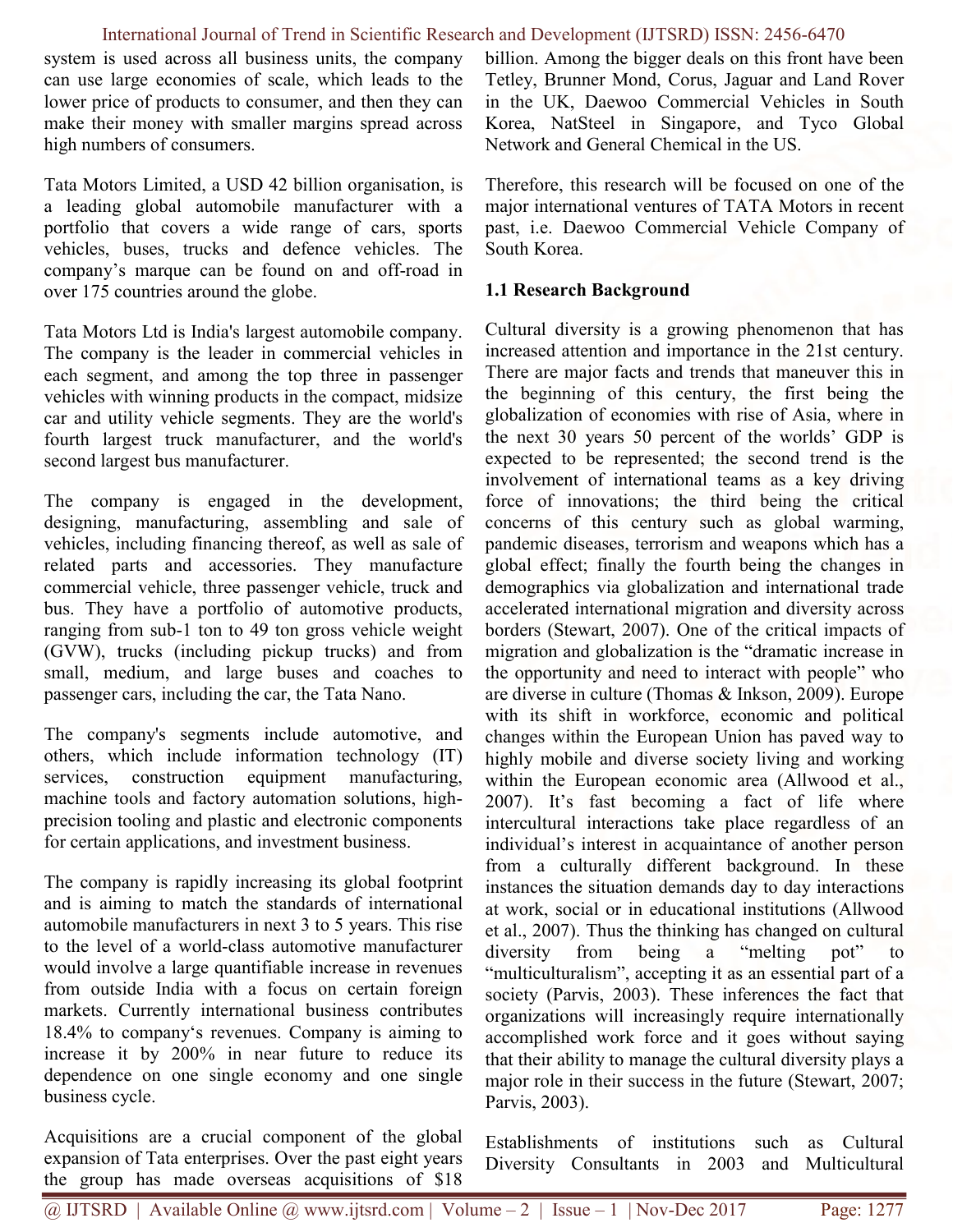system is used across all business units, the company can use large economies of scale, which leads to the lower price of products to consumer, and then they can make their money with smaller margins spread across high numbers of consumers.

Tata Motors Limited, a USD 42 billion organisation, is a leading global automobile manufacturer with a portfolio that covers a wide range of cars, sports vehicles, buses, trucks and defence vehicles. The company's marque can be found on and off-road in over 175 countries around the globe.

Tata Motors Ltd is India's largest automobile company. The company is the leader in commercial vehicles in each segment, and among the top three in passenger vehicles with winning products in the compact, midsize car and utility vehicle segments. They are the world's fourth largest truck manufacturer, and the world's second largest bus manufacturer.

The company is engaged in the development, designing, manufacturing, assembling and sale of vehicles, including financing thereof, as well as sale of related parts and accessories. They manufacture commercial vehicle, three passenger vehicle, truck and bus. They have a portfolio of automotive products, ranging from sub-1 ton to 49 ton gross vehicle weight (GVW), trucks (including pickup trucks) and from small, medium, and large buses and coaches to passenger cars, including the car, the Tata Nano.

The company's segments include automotive, and others, which include information technology (IT) services, construction equipment manufacturing, machine tools and factory automation solutions, highprecision tooling and plastic and electronic components for certain applications, and investment business.

The company is rapidly increasing its global footprint and is aiming to match the standards of international automobile manufacturers in next 3 to 5 years. This rise to the level of a world-class automotive manufacturer would involve a large quantifiable increase in revenues from outside India with a focus on certain foreign markets. Currently international business contributes 18.4% to company's revenues. Company is aiming to increase it by 200% in near future to reduce its dependence on one single economy and one single business cycle.

Acquisitions are a crucial component of the global expansion of Tata enterprises. Over the past eight years the group has made overseas acquisitions of \$18 billion. Among the bigger deals on this front have been Tetley, Brunner Mond, Corus, Jaguar and Land Rover in the UK, Daewoo Commercial Vehicles in South Korea, NatSteel in Singapore, and Tyco Global Network and General Chemical in the US.

Therefore, this research will be focused on one of the major international ventures of TATA Motors in recent past, i.e. Daewoo Commercial Vehicle Company of South Korea.

### 1.1 Research Background

Cultural diversity is a growing phenomenon that has increased attention and importance in the 21st century. There are major facts and trends that maneuver this in the beginning of this century, the first being the globalization of economies with rise of Asia, where in the next 30 years 50 percent of the worlds' GDP is expected to be represented; the second trend is the involvement of international teams as a key driving force of innovations; the third being the critical concerns of this century such as global warming, pandemic diseases, terrorism and weapons which has a global effect; finally the fourth being the changes in demographics via globalization and international trade accelerated international migration and diversity across borders (Stewart, 2007). One of the critical impacts of migration and globalization is the "dramatic increase in the opportunity and need to interact with people" who are diverse in culture (Thomas & Inkson, 2009). Europe with its shift in workforce, economic and political changes within the European Union has paved way to highly mobile and diverse society living and working within the European economic area (Allwood et al., 2007). It's fast becoming a fact of life where intercultural interactions take place regardless of an individual's interest in acquaintance of another person from a culturally different background. In these instances the situation demands day to day interactions at work, social or in educational institutions (Allwood et al., 2007). Thus the thinking has changed on cultural diversity from being a "melting pot" to "multiculturalism", accepting it as an essential part of a society (Parvis, 2003). These inferences the fact that organizations will increasingly require internationally accomplished work force and it goes without saying that their ability to manage the cultural diversity plays a major role in their success in the future (Stewart, 2007; Parvis, 2003).

Establishments of institutions such as Cultural Diversity Consultants in 2003 and Multicultural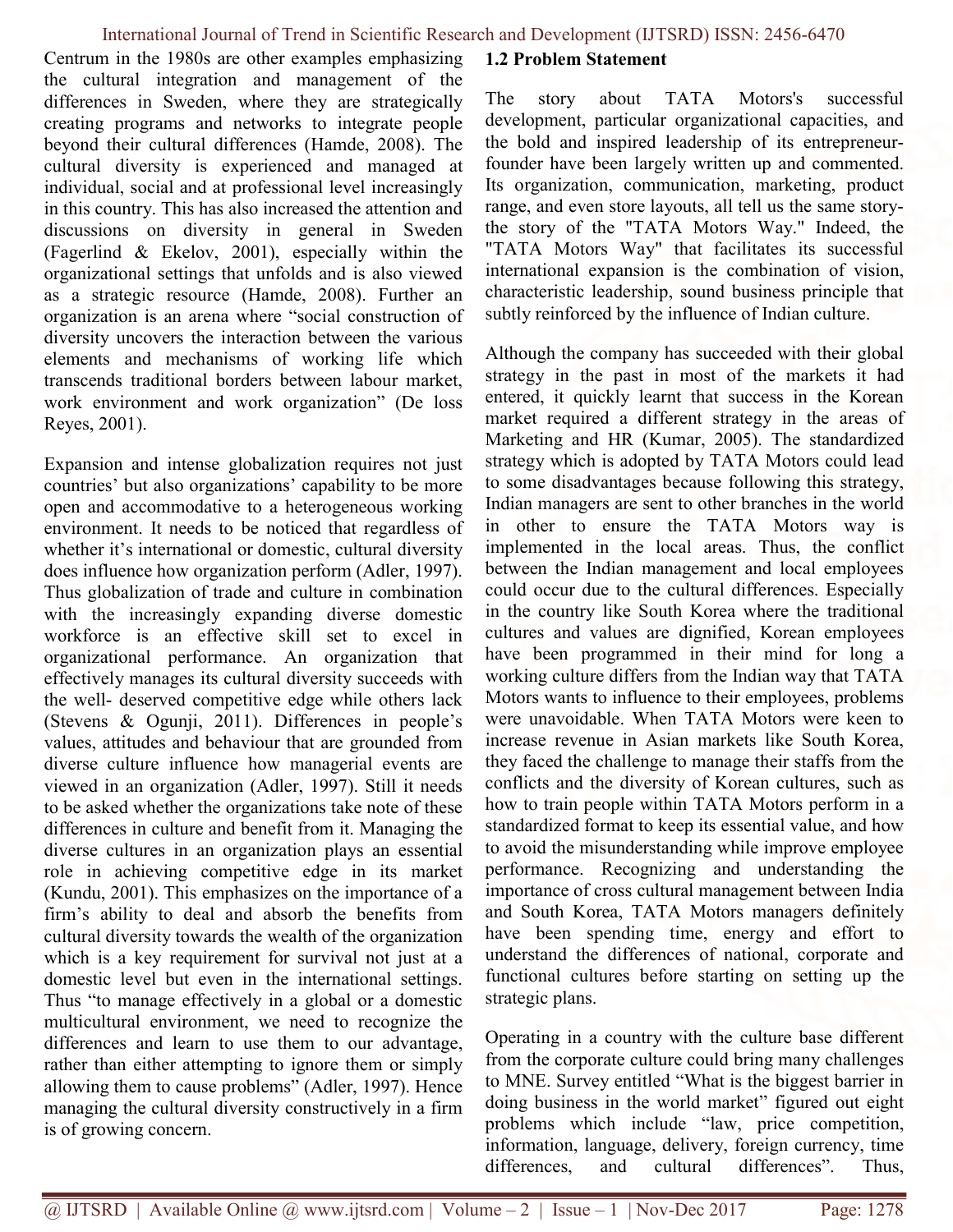Centrum in the 1980s are other examples emphasizing the cultural integration and management of the differences in Sweden, where they are strategically creating programs and networks to integrate people beyond their cultural differences (Hamde, 2008). The cultural diversity is experienced and managed at individual, social and at professional level increasingly in this country. This has also increased the attention and discussions on diversity in general in Sweden (Fagerlind & Ekelov, 2001), especially within the organizational settings that unfolds and is also viewed as a strategic resource (Hamde, 2008). Further an organization is an arena where "social construction of diversity uncovers the interaction between the various elements and mechanisms of working life which transcends traditional borders between labour market, work environment and work organization" (De loss Reyes, 2001).

Expansion and intense globalization requires not just countries' but also organizations' capability to be more open and accommodative to a heterogeneous working environment. It needs to be noticed that regardless of whether it's international or domestic, cultural diversity does influence how organization perform (Adler, 1997). Thus globalization of trade and culture in combination with the increasingly expanding diverse domestic workforce is an effective skill set to excel in organizational performance. An organization that effectively manages its cultural diversity succeeds with the well- deserved competitive edge while others lack (Stevens & Ogunji, 2011). Differences in people's values, attitudes and behaviour that are grounded from diverse culture influence how managerial events are viewed in an organization (Adler, 1997). Still it needs to be asked whether the organizations take note of these differences in culture and benefit from it. Managing the diverse cultures in an organization plays an essential role in achieving competitive edge in its market (Kundu, 2001). This emphasizes on the importance of a firm's ability to deal and absorb the benefits from cultural diversity towards the wealth of the organization which is a key requirement for survival not just at a domestic level but even in the international settings. Thus "to manage effectively in a global or a domestic multicultural environment, we need to recognize the differences and learn to use them to our advantage, rather than either attempting to ignore them or simply allowing them to cause problems" (Adler, 1997). Hence managing the cultural diversity constructively in a firm is of growing concern.

# 1.2 Problem Statement

The story about TATA Motors's successful development, particular organizational capacities, and the bold and inspired leadership of its entrepreneurfounder have been largely written up and commented. Its organization, communication, marketing, product range, and even store layouts, all tell us the same storythe story of the "TATA Motors Way." Indeed, the "TATA Motors Way" that facilitates its successful international expansion is the combination of vision, characteristic leadership, sound business principle that subtly reinforced by the influence of Indian culture.

Although the company has succeeded with their global strategy in the past in most of the markets it had entered, it quickly learnt that success in the Korean market required a different strategy in the areas of Marketing and HR (Kumar, 2005). The standardized strategy which is adopted by TATA Motors could lead to some disadvantages because following this strategy, Indian managers are sent to other branches in the world in other to ensure the TATA Motors way is implemented in the local areas. Thus, the conflict between the Indian management and local employees could occur due to the cultural differences. Especially in the country like South Korea where the traditional cultures and values are dignified, Korean employees have been programmed in their mind for long a working culture differs from the Indian way that TATA Motors wants to influence to their employees, problems were unavoidable. When TATA Motors were keen to increase revenue in Asian markets like South Korea, they faced the challenge to manage their staffs from the conflicts and the diversity of Korean cultures, such as how to train people within TATA Motors perform in a standardized format to keep its essential value, and how to avoid the misunderstanding while improve employee performance. Recognizing and understanding the importance of cross cultural management between India and South Korea, TATA Motors managers definitely have been spending time, energy and effort to understand the differences of national, corporate and functional cultures before starting on setting up the strategic plans.

Operating in a country with the culture base different from the corporate culture could bring many challenges to MNE. Survey entitled "What is the biggest barrier in doing business in the world market" figured out eight problems which include "law, price competition, information, language, delivery, foreign currency, time differences, and cultural differences". Thus,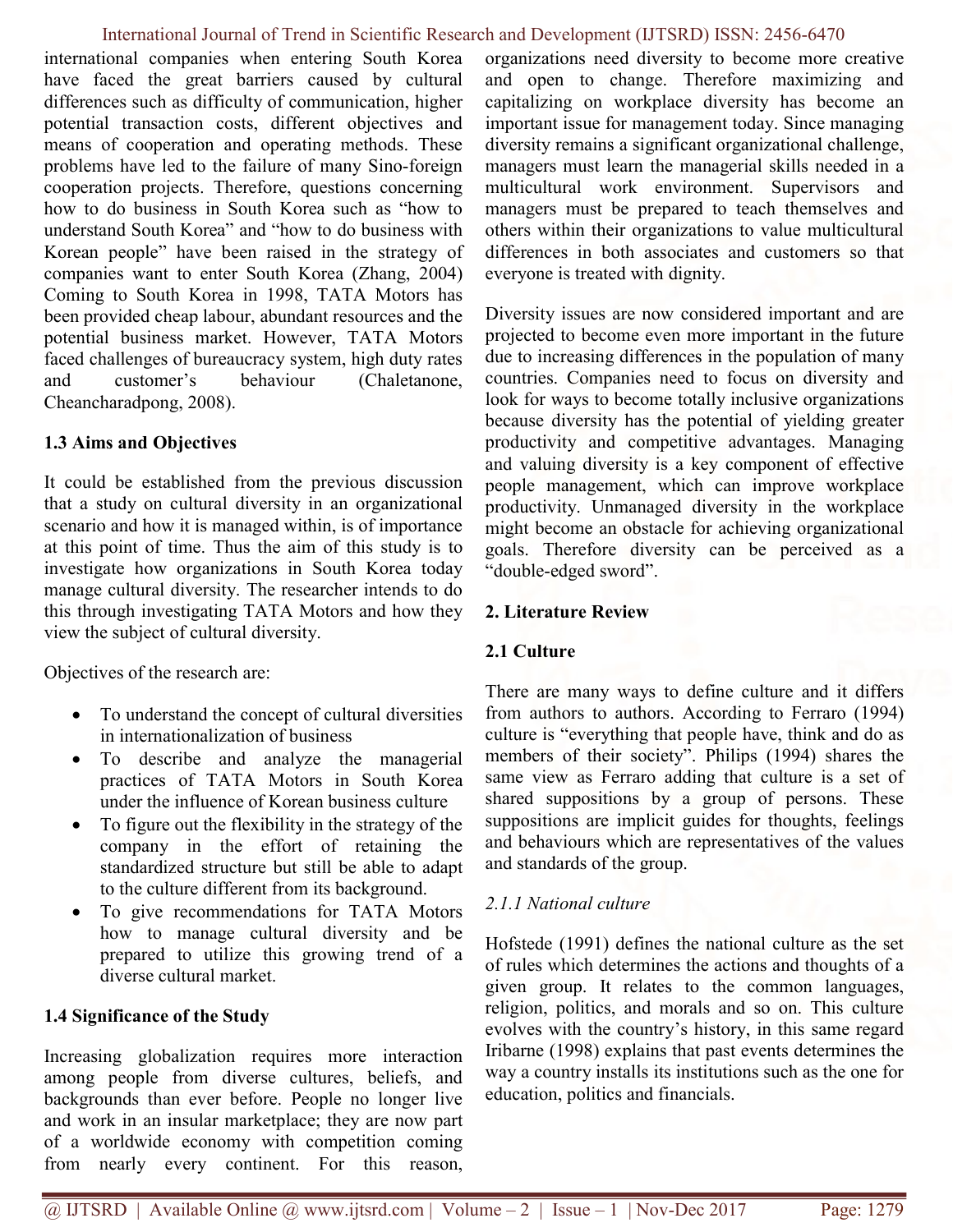international companies when entering South Korea have faced the great barriers caused by cultural differences such as difficulty of communication, higher potential transaction costs, different objectives and means of cooperation and operating methods. These problems have led to the failure of many Sino-foreign cooperation projects. Therefore, questions concerning how to do business in South Korea such as "how to understand South Korea" and "how to do business with Korean people" have been raised in the strategy of companies want to enter South Korea (Zhang, 2004) Coming to South Korea in 1998, TATA Motors has been provided cheap labour, abundant resources and the potential business market. However, TATA Motors faced challenges of bureaucracy system, high duty rates and customer's behaviour (Chaletanone, Cheancharadpong, 2008).

# 1.3 Aims and Objectives

It could be established from the previous discussion that a study on cultural diversity in an organizational scenario and how it is managed within, is of importance at this point of time. Thus the aim of this study is to investigate how organizations in South Korea today manage cultural diversity. The researcher intends to do this through investigating TATA Motors and how they view the subject of cultural diversity.

Objectives of the research are:

- To understand the concept of cultural diversities in internationalization of business
- To describe and analyze the managerial practices of TATA Motors in South Korea under the influence of Korean business culture
- To figure out the flexibility in the strategy of the company in the effort of retaining the standardized structure but still be able to adapt to the culture different from its background.
- To give recommendations for TATA Motors how to manage cultural diversity and be prepared to utilize this growing trend of a diverse cultural market.

# 1.4 Significance of the Study

Increasing globalization requires more interaction among people from diverse cultures, beliefs, and backgrounds than ever before. People no longer live and work in an insular marketplace; they are now part of a worldwide economy with competition coming from nearly every continent. For this reason,

organizations need diversity to become more creative and open to change. Therefore maximizing and capitalizing on workplace diversity has become an important issue for management today. Since managing diversity remains a significant organizational challenge, managers must learn the managerial skills needed in a multicultural work environment. Supervisors and managers must be prepared to teach themselves and others within their organizations to value multicultural differences in both associates and customers so that everyone is treated with dignity.

Diversity issues are now considered important and are projected to become even more important in the future due to increasing differences in the population of many countries. Companies need to focus on diversity and look for ways to become totally inclusive organizations because diversity has the potential of yielding greater productivity and competitive advantages. Managing and valuing diversity is a key component of effective people management, which can improve workplace productivity. Unmanaged diversity in the workplace might become an obstacle for achieving organizational goals. Therefore diversity can be perceived as a "double-edged sword".

# 2. Literature Review

# 2.1 Culture

There are many ways to define culture and it differs from authors to authors. According to Ferraro (1994) culture is "everything that people have, think and do as members of their society". Philips (1994) shares the same view as Ferraro adding that culture is a set of shared suppositions by a group of persons. These suppositions are implicit guides for thoughts, feelings and behaviours which are representatives of the values and standards of the group.

### 2.1.1 National culture

Hofstede (1991) defines the national culture as the set of rules which determines the actions and thoughts of a given group. It relates to the common languages, religion, politics, and morals and so on. This culture evolves with the country's history, in this same regard Iribarne (1998) explains that past events determines the way a country installs its institutions such as the one for education, politics and financials.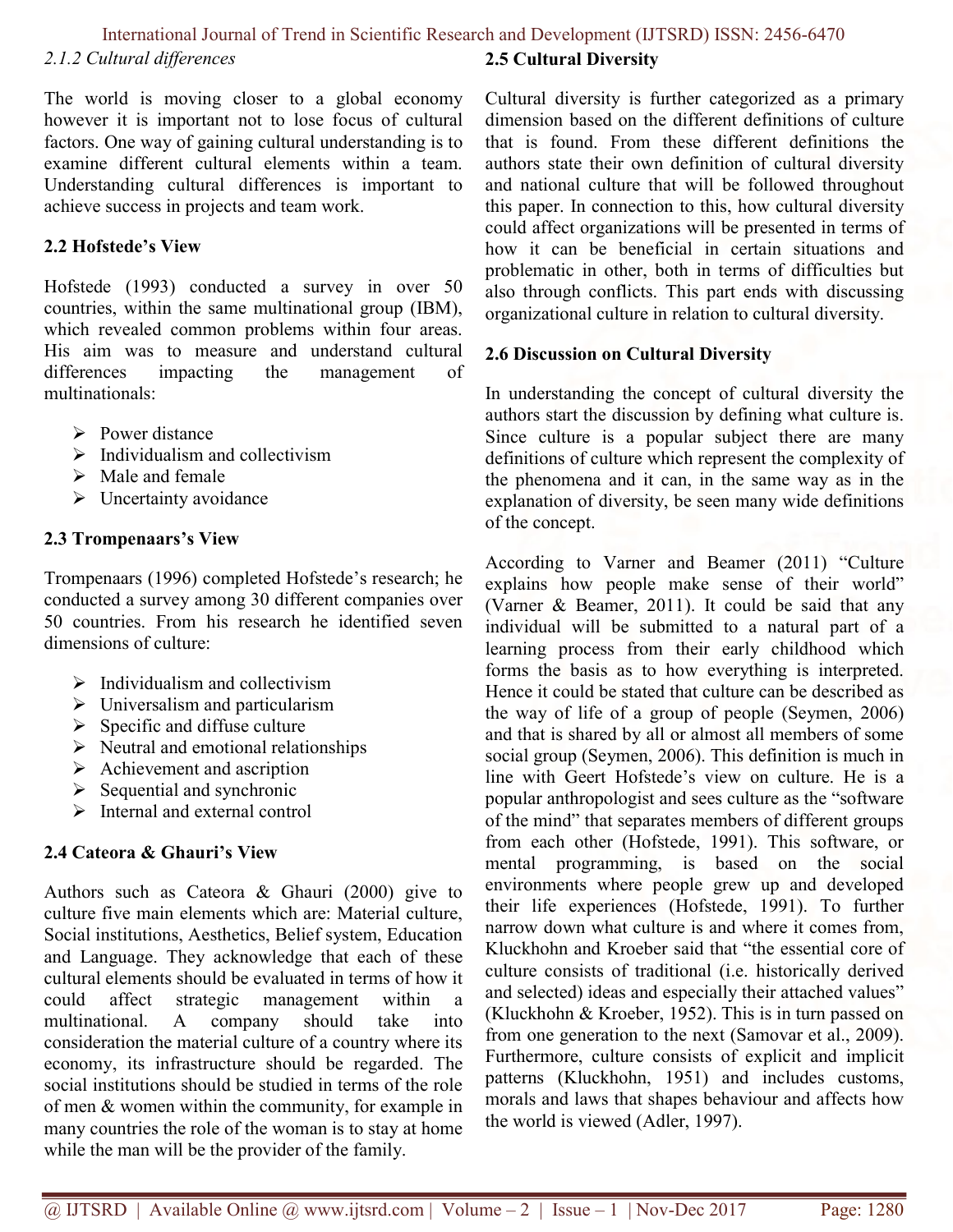#### International Journal of Trend in Scientific Research and Development (IJTSRD) ISSN: 2456-6470 2.1.2 Cultural differences 2.5 Cultural Diversity

The world is moving closer to a global economy however it is important not to lose focus of cultural factors. One way of gaining cultural understanding is to examine different cultural elements within a team. Understanding cultural differences is important to achieve success in projects and team work.

# 2.2 Hofstede's View

Hofstede (1993) conducted a survey in over 50 countries, within the same multinational group (IBM), which revealed common problems within four areas. His aim was to measure and understand cultural differences impacting the management of multinationals:

- $\triangleright$  Power distance
- $\triangleright$  Individualism and collectivism
- $\triangleright$  Male and female
- $\triangleright$  Uncertainty avoidance

# 2.3 Trompenaars's View

Trompenaars (1996) completed Hofstede's research; he conducted a survey among 30 different companies over 50 countries. From his research he identified seven dimensions of culture:

- $\triangleright$  Individualism and collectivism
- $\triangleright$  Universalism and particularism
- $\triangleright$  Specific and diffuse culture
- $\triangleright$  Neutral and emotional relationships
- $\triangleright$  Achievement and ascription
- $\triangleright$  Sequential and synchronic
- $\triangleright$  Internal and external control

# 2.4 Cateora & Ghauri's View

Authors such as Cateora & Ghauri (2000) give to culture five main elements which are: Material culture, Social institutions, Aesthetics, Belief system, Education and Language. They acknowledge that each of these cultural elements should be evaluated in terms of how it could affect strategic management within a multinational. A company should take into consideration the material culture of a country where its economy, its infrastructure should be regarded. The social institutions should be studied in terms of the role of men & women within the community, for example in many countries the role of the woman is to stay at home while the man will be the provider of the family.

Cultural diversity is further categorized as a primary dimension based on the different definitions of culture that is found. From these different definitions the authors state their own definition of cultural diversity and national culture that will be followed throughout this paper. In connection to this, how cultural diversity could affect organizations will be presented in terms of how it can be beneficial in certain situations and problematic in other, both in terms of difficulties but also through conflicts. This part ends with discussing organizational culture in relation to cultural diversity.

# 2.6 Discussion on Cultural Diversity

In understanding the concept of cultural diversity the authors start the discussion by defining what culture is. Since culture is a popular subject there are many definitions of culture which represent the complexity of the phenomena and it can, in the same way as in the explanation of diversity, be seen many wide definitions of the concept.

According to Varner and Beamer (2011) "Culture explains how people make sense of their world" (Varner & Beamer, 2011). It could be said that any individual will be submitted to a natural part of a learning process from their early childhood which forms the basis as to how everything is interpreted. Hence it could be stated that culture can be described as the way of life of a group of people (Seymen, 2006) and that is shared by all or almost all members of some social group (Seymen, 2006). This definition is much in line with Geert Hofstede's view on culture. He is a popular anthropologist and sees culture as the "software of the mind" that separates members of different groups from each other (Hofstede, 1991). This software, or mental programming, is based on the social environments where people grew up and developed their life experiences (Hofstede, 1991). To further narrow down what culture is and where it comes from, Kluckhohn and Kroeber said that "the essential core of culture consists of traditional (i.e. historically derived and selected) ideas and especially their attached values" (Kluckhohn & Kroeber, 1952). This is in turn passed on from one generation to the next (Samovar et al., 2009). Furthermore, culture consists of explicit and implicit patterns (Kluckhohn, 1951) and includes customs, morals and laws that shapes behaviour and affects how the world is viewed (Adler, 1997).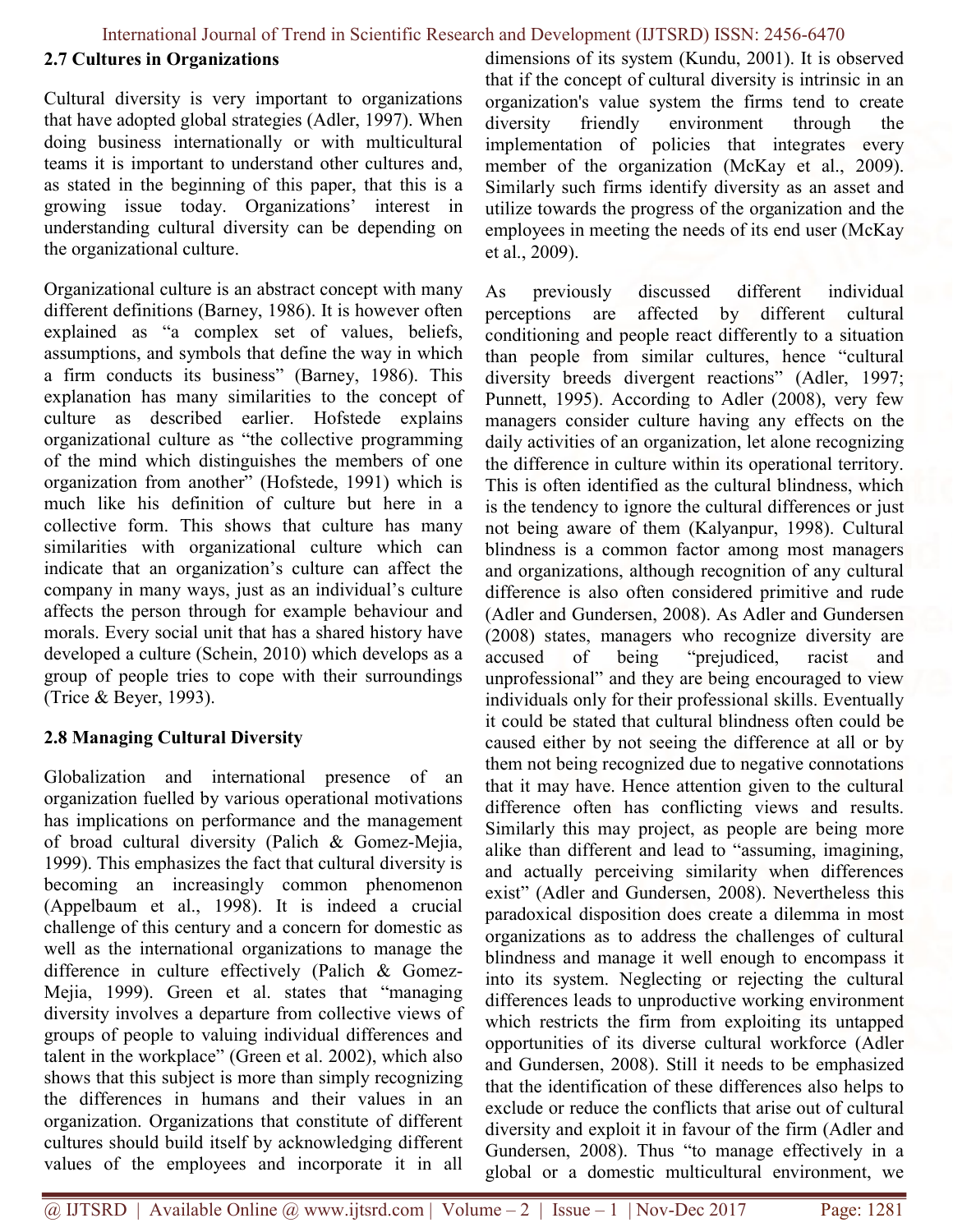# 2.7 Cultures in Organizations

Cultural diversity is very important to organizations that have adopted global strategies (Adler, 1997). When doing business internationally or with multicultural teams it is important to understand other cultures and, as stated in the beginning of this paper, that this is a growing issue today. Organizations' interest in understanding cultural diversity can be depending on the organizational culture.

Organizational culture is an abstract concept with many different definitions (Barney, 1986). It is however often explained as "a complex set of values, beliefs, assumptions, and symbols that define the way in which a firm conducts its business" (Barney, 1986). This explanation has many similarities to the concept of culture as described earlier. Hofstede explains organizational culture as "the collective programming of the mind which distinguishes the members of one organization from another" (Hofstede, 1991) which is much like his definition of culture but here in a collective form. This shows that culture has many similarities with organizational culture which can indicate that an organization's culture can affect the company in many ways, just as an individual's culture affects the person through for example behaviour and morals. Every social unit that has a shared history have developed a culture (Schein, 2010) which develops as a group of people tries to cope with their surroundings (Trice & Beyer, 1993).

# 2.8 Managing Cultural Diversity

Globalization and international presence of an organization fuelled by various operational motivations has implications on performance and the management of broad cultural diversity (Palich & Gomez-Mejia, 1999). This emphasizes the fact that cultural diversity is becoming an increasingly common phenomenon (Appelbaum et al., 1998). It is indeed a crucial challenge of this century and a concern for domestic as well as the international organizations to manage the difference in culture effectively (Palich & Gomez-Mejia, 1999). Green et al. states that "managing diversity involves a departure from collective views of groups of people to valuing individual differences and talent in the workplace" (Green et al. 2002), which also shows that this subject is more than simply recognizing the differences in humans and their values in an organization. Organizations that constitute of different cultures should build itself by acknowledging different values of the employees and incorporate it in all

dimensions of its system (Kundu, 2001). It is observed that if the concept of cultural diversity is intrinsic in an organization's value system the firms tend to create diversity friendly environment through the implementation of policies that integrates every member of the organization (McKay et al., 2009). Similarly such firms identify diversity as an asset and utilize towards the progress of the organization and the employees in meeting the needs of its end user (McKay et al., 2009).

As previously discussed different individual perceptions are affected by different cultural conditioning and people react differently to a situation than people from similar cultures, hence "cultural diversity breeds divergent reactions" (Adler, 1997; Punnett, 1995). According to Adler (2008), very few managers consider culture having any effects on the daily activities of an organization, let alone recognizing the difference in culture within its operational territory. This is often identified as the cultural blindness, which is the tendency to ignore the cultural differences or just not being aware of them (Kalyanpur, 1998). Cultural blindness is a common factor among most managers and organizations, although recognition of any cultural difference is also often considered primitive and rude (Adler and Gundersen, 2008). As Adler and Gundersen (2008) states, managers who recognize diversity are accused of being "prejudiced, racist and unprofessional" and they are being encouraged to view individuals only for their professional skills. Eventually it could be stated that cultural blindness often could be caused either by not seeing the difference at all or by them not being recognized due to negative connotations that it may have. Hence attention given to the cultural difference often has conflicting views and results. Similarly this may project, as people are being more alike than different and lead to "assuming, imagining, and actually perceiving similarity when differences exist" (Adler and Gundersen, 2008). Nevertheless this paradoxical disposition does create a dilemma in most organizations as to address the challenges of cultural blindness and manage it well enough to encompass it into its system. Neglecting or rejecting the cultural differences leads to unproductive working environment which restricts the firm from exploiting its untapped opportunities of its diverse cultural workforce (Adler and Gundersen, 2008). Still it needs to be emphasized that the identification of these differences also helps to exclude or reduce the conflicts that arise out of cultural diversity and exploit it in favour of the firm (Adler and Gundersen, 2008). Thus "to manage effectively in a global or a domestic multicultural environment, we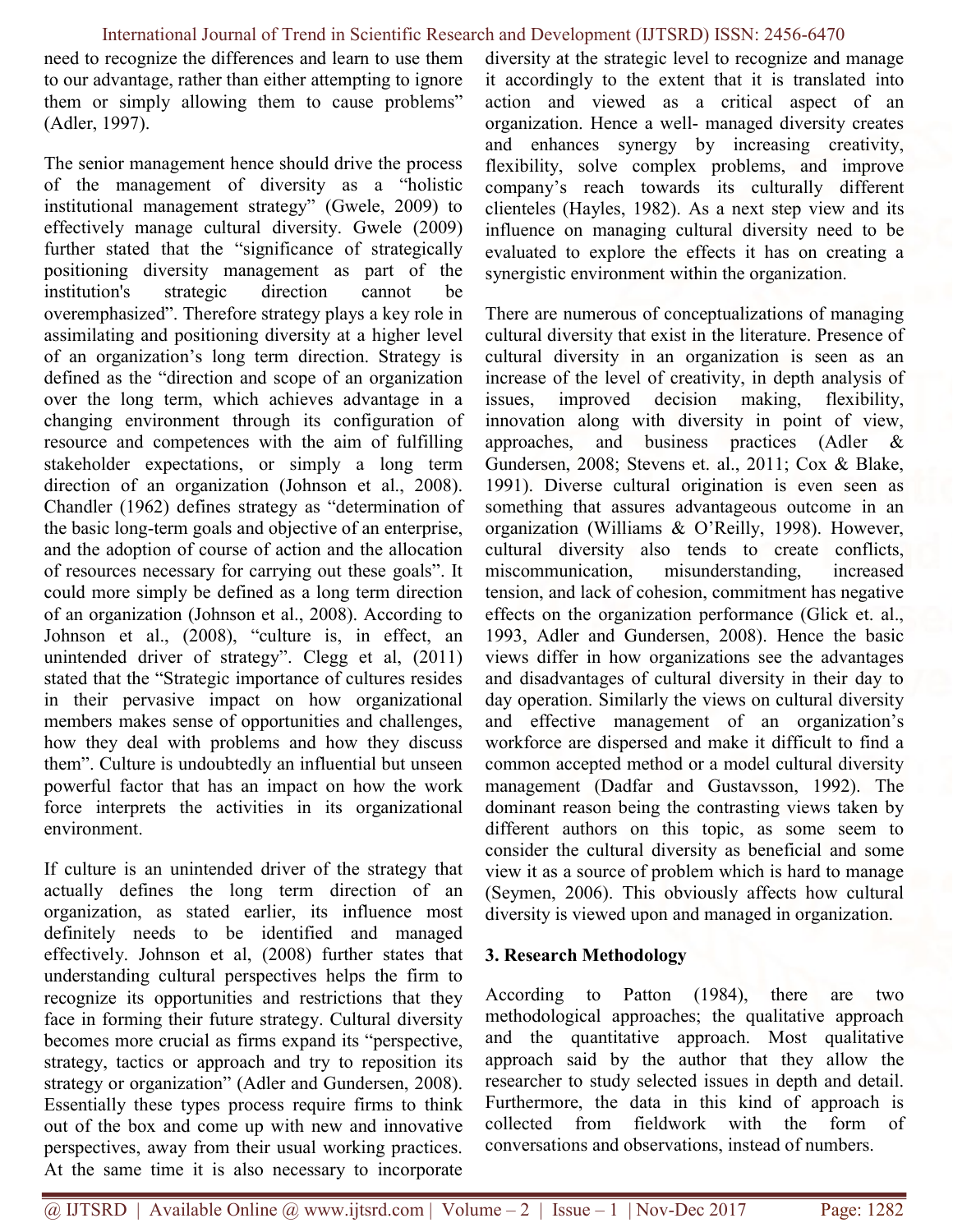need to recognize the differences and learn to use them to our advantage, rather than either attempting to ignore them or simply allowing them to cause problems" (Adler, 1997).

The senior management hence should drive the process of the management of diversity as a "holistic institutional management strategy" (Gwele, 2009) to effectively manage cultural diversity. Gwele (2009) further stated that the "significance of strategically positioning diversity management as part of the institution's strategic direction cannot be overemphasized". Therefore strategy plays a key role in assimilating and positioning diversity at a higher level of an organization's long term direction. Strategy is defined as the "direction and scope of an organization over the long term, which achieves advantage in a changing environment through its configuration of resource and competences with the aim of fulfilling stakeholder expectations, or simply a long term direction of an organization (Johnson et al., 2008). Chandler (1962) defines strategy as "determination of the basic long-term goals and objective of an enterprise, and the adoption of course of action and the allocation of resources necessary for carrying out these goals". It could more simply be defined as a long term direction of an organization (Johnson et al., 2008). According to Johnson et al., (2008), "culture is, in effect, an unintended driver of strategy". Clegg et al, (2011) stated that the "Strategic importance of cultures resides in their pervasive impact on how organizational members makes sense of opportunities and challenges, how they deal with problems and how they discuss them". Culture is undoubtedly an influential but unseen powerful factor that has an impact on how the work force interprets the activities in its organizational environment.

If culture is an unintended driver of the strategy that actually defines the long term direction of an organization, as stated earlier, its influence most definitely needs to be identified and managed effectively. Johnson et al, (2008) further states that understanding cultural perspectives helps the firm to recognize its opportunities and restrictions that they face in forming their future strategy. Cultural diversity becomes more crucial as firms expand its "perspective, strategy, tactics or approach and try to reposition its strategy or organization" (Adler and Gundersen, 2008). Essentially these types process require firms to think out of the box and come up with new and innovative perspectives, away from their usual working practices. At the same time it is also necessary to incorporate

diversity at the strategic level to recognize and manage it accordingly to the extent that it is translated into action and viewed as a critical aspect of an organization. Hence a well- managed diversity creates and enhances synergy by increasing creativity, flexibility, solve complex problems, and improve company's reach towards its culturally different clienteles (Hayles, 1982). As a next step view and its influence on managing cultural diversity need to be evaluated to explore the effects it has on creating a synergistic environment within the organization.

There are numerous of conceptualizations of managing cultural diversity that exist in the literature. Presence of cultural diversity in an organization is seen as an increase of the level of creativity, in depth analysis of issues, improved decision making, flexibility, innovation along with diversity in point of view, approaches, and business practices (Adler & Gundersen, 2008; Stevens et. al., 2011; Cox & Blake, 1991). Diverse cultural origination is even seen as something that assures advantageous outcome in an organization (Williams & O'Reilly, 1998). However, cultural diversity also tends to create conflicts, miscommunication, misunderstanding, increased tension, and lack of cohesion, commitment has negative effects on the organization performance (Glick et. al., 1993, Adler and Gundersen, 2008). Hence the basic views differ in how organizations see the advantages and disadvantages of cultural diversity in their day to day operation. Similarly the views on cultural diversity and effective management of an organization's workforce are dispersed and make it difficult to find a common accepted method or a model cultural diversity management (Dadfar and Gustavsson, 1992). The dominant reason being the contrasting views taken by different authors on this topic, as some seem to consider the cultural diversity as beneficial and some view it as a source of problem which is hard to manage (Seymen, 2006). This obviously affects how cultural diversity is viewed upon and managed in organization.

### 3. Research Methodology

According to Patton (1984), there are two methodological approaches; the qualitative approach and the quantitative approach. Most qualitative approach said by the author that they allow the researcher to study selected issues in depth and detail. Furthermore, the data in this kind of approach is collected from fieldwork with the form of conversations and observations, instead of numbers.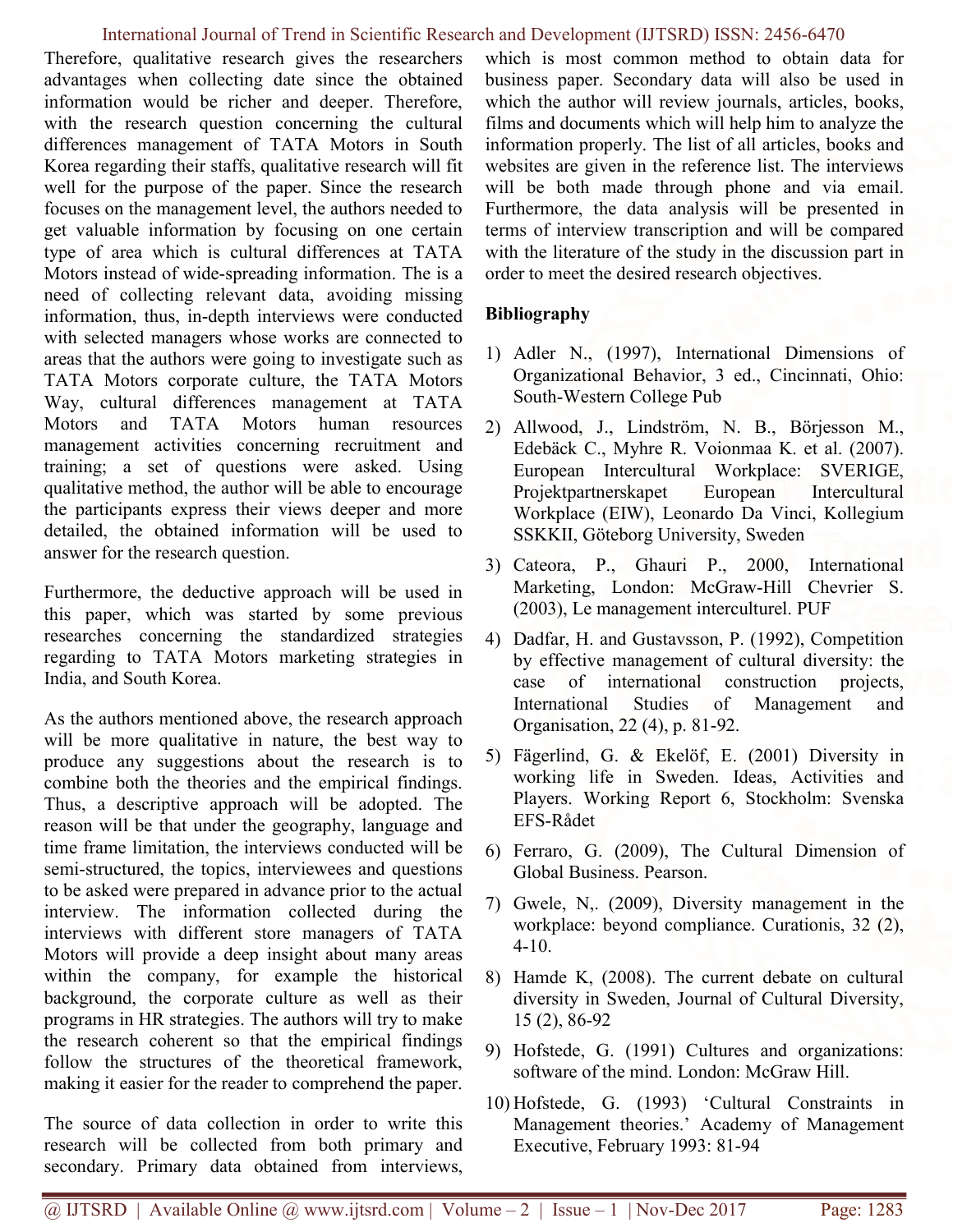Therefore, qualitative research gives the researchers advantages when collecting date since the obtained information would be richer and deeper. Therefore, with the research question concerning the cultural differences management of TATA Motors in South Korea regarding their staffs, qualitative research will fit well for the purpose of the paper. Since the research focuses on the management level, the authors needed to get valuable information by focusing on one certain type of area which is cultural differences at TATA Motors instead of wide-spreading information. The is a need of collecting relevant data, avoiding missing information, thus, in-depth interviews were conducted with selected managers whose works are connected to areas that the authors were going to investigate such as TATA Motors corporate culture, the TATA Motors Way, cultural differences management at TATA Motors and TATA Motors human resources management activities concerning recruitment and training; a set of questions were asked. Using qualitative method, the author will be able to encourage the participants express their views deeper and more detailed, the obtained information will be used to answer for the research question.

Furthermore, the deductive approach will be used in this paper, which was started by some previous researches concerning the standardized strategies regarding to TATA Motors marketing strategies in India, and South Korea.

As the authors mentioned above, the research approach will be more qualitative in nature, the best way to produce any suggestions about the research is to combine both the theories and the empirical findings. Thus, a descriptive approach will be adopted. The reason will be that under the geography, language and time frame limitation, the interviews conducted will be semi-structured, the topics, interviewees and questions to be asked were prepared in advance prior to the actual interview. The information collected during the interviews with different store managers of TATA Motors will provide a deep insight about many areas within the company, for example the historical background, the corporate culture as well as their programs in HR strategies. The authors will try to make the research coherent so that the empirical findings follow the structures of the theoretical framework, making it easier for the reader to comprehend the paper.

The source of data collection in order to write this research will be collected from both primary and secondary. Primary data obtained from interviews, which is most common method to obtain data for business paper. Secondary data will also be used in which the author will review journals, articles, books, films and documents which will help him to analyze the information properly. The list of all articles, books and websites are given in the reference list. The interviews will be both made through phone and via email. Furthermore, the data analysis will be presented in terms of interview transcription and will be compared with the literature of the study in the discussion part in order to meet the desired research objectives.

# Bibliography

- 1) Adler N., (1997), International Dimensions of Organizational Behavior, 3 ed., Cincinnati, Ohio: South-Western College Pub
- 2) Allwood, J., Lindström, N. B., Börjesson M., Edebäck C., Myhre R. Voionmaa K. et al. (2007). European Intercultural Workplace: SVERIGE, Projektpartnerskapet European Intercultural Workplace (EIW), Leonardo Da Vinci, Kollegium SSKKII, Göteborg University, Sweden
- 3) Cateora, P., Ghauri P., 2000, International Marketing, London: McGraw-Hill Chevrier S. (2003), Le management interculturel. PUF
- 4) Dadfar, H. and Gustavsson, P. (1992), Competition by effective management of cultural diversity: the case of international construction projects, International Studies of Management and Organisation, 22 (4), p. 81-92.
- 5) Fägerlind, G. & Ekelöf, E. (2001) Diversity in working life in Sweden. Ideas, Activities and Players. Working Report 6, Stockholm: Svenska EFS-Rådet
- 6) Ferraro, G. (2009), The Cultural Dimension of Global Business. Pearson.
- 7) Gwele, N,. (2009), Diversity management in the workplace: beyond compliance. Curationis, 32 (2), 4-10.
- 8) Hamde K, (2008). The current debate on cultural diversity in Sweden, Journal of Cultural Diversity, 15 (2), 86-92
- 9) Hofstede, G. (1991) Cultures and organizations: software of the mind. London: McGraw Hill.
- 10) Hofstede, G. (1993) 'Cultural Constraints in Management theories.' Academy of Management Executive, February 1993: 81-94